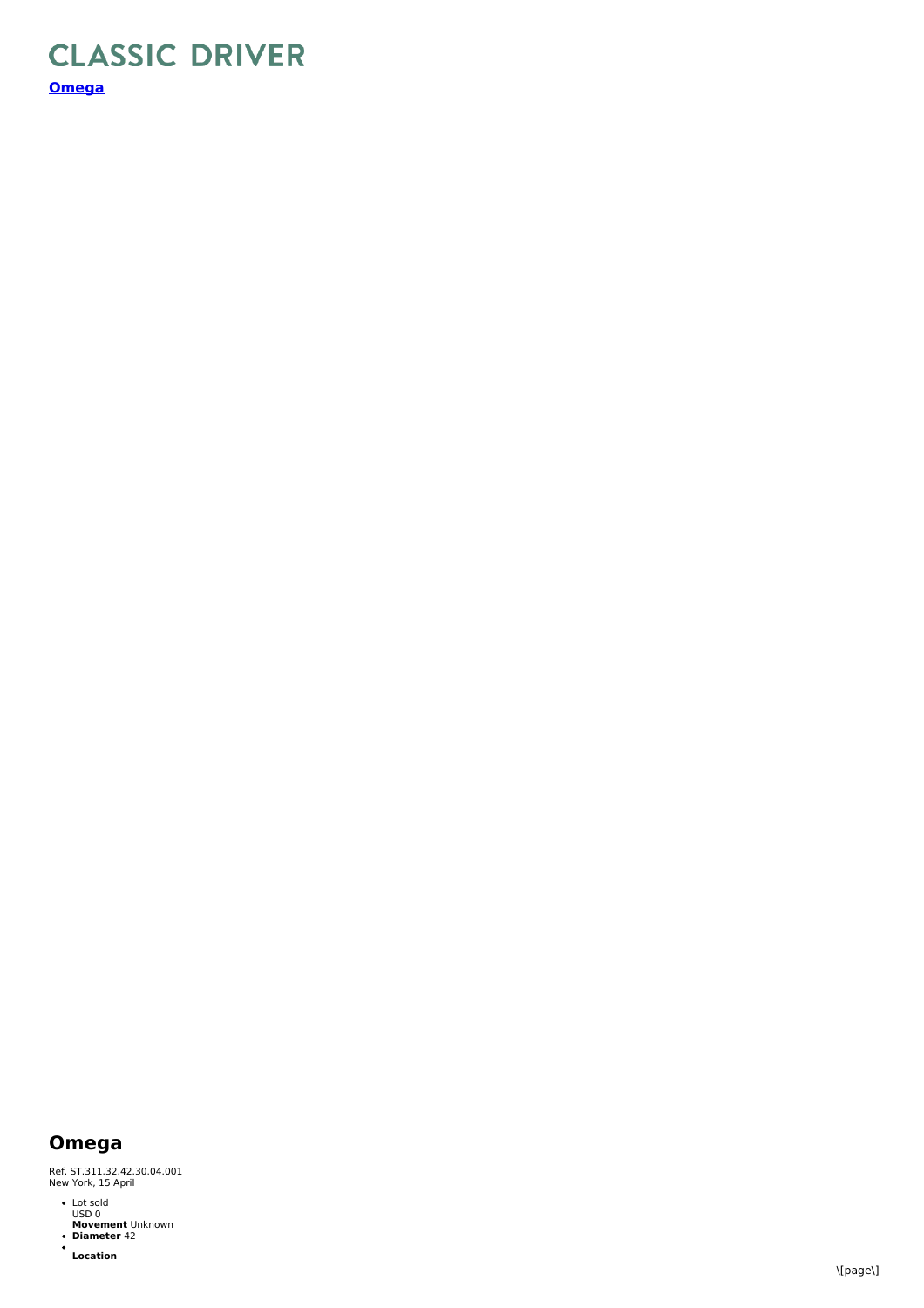## **CLASSIC DRIVER [Omega](https://www.classicdriver.com/en/watch/omega/296980)**

## **Omega**

Ref. ST.311.32.42.30.04.001<br>New York, 15 April

- Lot sold USD 0
- **Movement** Unknown **Diameter** 42
- $\bullet$ **Location**